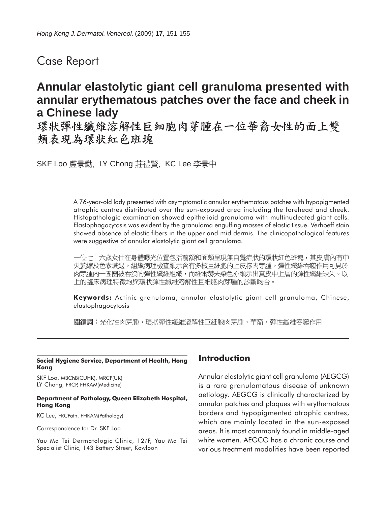## Case Report

# **Annular elastolytic giant cell granuloma presented with annular erythematous patches over the face and cheek in a Chinese lady**

環狀彈性纖維溶解性巨細胞肉芽腫在一位華裔女性的面上雙 頰表現為環狀紅色班塊

SKF Loo 盧景勳, LY Chong 莊禮賢, KC Lee 李景中

A 76-year-old lady presented with asymptomatic annular erythematous patches with hypopigmented atrophic centres distributed over the sun-exposed area including the forehead and cheek. Histopathologic examination showed epithelioid granuloma with multinucleated giant cells. Elastophagocytosis was evident by the granuloma engulfing masses of elastic tissue. Verhoeff stain showed absence of elastic fibers in the upper and mid dermis. The clinicopathological features were suggestive of annular elastolytic giant cell granuloma.

一位七十六歲女仕在身體曝光位置包括前額和面頰呈現無自覺症狀的環狀紅色班塊,其皮膚內有中 央萎縮及色素減退。組織病理檢查顯示含有多核巨細胞的上皮樣肉芽腫。彈性纖維吞噬作用可見於 肉芽腫內一團團被吞沒的彈性纖維組織,而維爾赫夫染色亦顯示出真皮中上層的彈性纖維缺失。以 上的臨床病理特徵均與環狀彈性纖維溶解性巨細胞肉芽腫的診斷吻合。

**Keywords:** Actinic granuloma, annular elastolytic giant cell granuloma, Chinese, elastophagocytosis

關鍵詞:光化性肉芽腫,環狀彈性纖維溶解性巨細胞肉芽腫,華裔,彈性纖維吞噬作用

#### **Social Hygiene Service, Department of Health, Hong Kong**

SKF Loo, MBChB(CUHK), MRCP(UK) LY Chong, FRCP, FHKAM(Medicine)

#### **Department of Pathology, Queen Elizabeth Hospital, Hong Kong**

KC Lee, FRCPath, FHKAM(Pathology)

Correspondence to: Dr. SKF Loo

Yau Ma Tei Dermatologic Clinic, 12/F, Yau Ma Tei Specialist Clinic, 143 Battery Street, Kowloon

## **Introduction**

Annular elastolytic giant cell granuloma (AEGCG) is a rare granulomatous disease of unknown aetiology. AEGCG is clinically characterized by annular patches and plaques with erythematous borders and hypopigmented atrophic centres, which are mainly located in the sun-exposed areas. It is most commonly found in middle-aged white women. AEGCG has a chronic course and various treatment modalities have been reported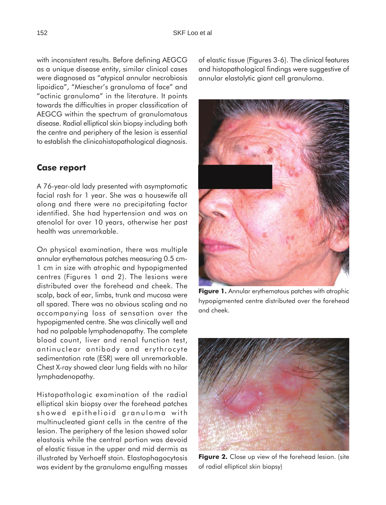with inconsistent results. Before defining AEGCG as a unique disease entity, similar clinical cases were diagnosed as "atypical annular necrobiosis lipoidica", "Miescher's granuloma of face" and "actinic granuloma" in the literature. It points towards the difficulties in proper classification of AEGCG within the spectrum of granulomatous disease. Radial elliptical skin biopsy including both the centre and periphery of the lesion is essential to establish the clinicohistopathological diagnosis.

#### **Case report**

A 76-year-old lady presented with asymptomatic facial rash for 1 year. She was a housewife all along and there were no precipitating factor identified. She had hypertension and was on atenolol for over 10 years, otherwise her past health was unremarkable.

On physical examination, there was multiple annular erythematous patches measuring 0.5 cm-1 cm in size with atrophic and hypopigmented centres (Figures 1 and 2). The lesions were distributed over the forehead and cheek. The scalp, back of ear, limbs, trunk and mucosa were all spared. There was no obvious scaling and no accompanying loss of sensation over the hypopigmented centre. She was clinically well and had no palpable lymphadenopathy. The complete blood count, liver and renal function test, antinuclear antibody and erythrocyte sedimentation rate (ESR) were all unremarkable. Chest X-ray showed clear lung fields with no hilar lymphadenopathy.

Histopathologic examination of the radial elliptical skin biopsy over the forehead patches showed epithelioid granuloma with multinucleated giant cells in the centre of the lesion. The periphery of the lesion showed solar elastosis while the central portion was devoid of elastic tissue in the upper and mid dermis as illustrated by Verhoeff stain. Elastophagocytosis was evident by the granuloma engulfing masses

of elastic tissue (Figures 3-6). The clinical features and histopathological findings were suggestive of annular elastolytic giant cell granuloma.



**Figure 1.** Annular erythematous patches with atrophic hypopigmented centre distributed over the forehead and cheek.



**Figure 2.** Close up view of the forehead lesion. (site of radial elliptical skin biopsy)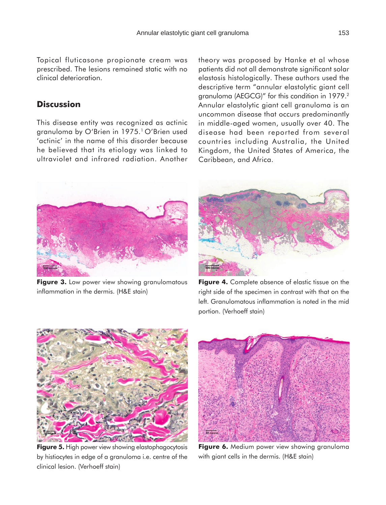### **Discussion**

This disease entity was recognized as actinic granuloma by O'Brien in 1975.<sup>1</sup> O'Brien used 'actinic' in the name of this disorder because he believed that its etiology was linked to ultraviolet and infrared radiation. Another theory was proposed by Hanke et al whose patients did not all demonstrate significant solar elastosis histologically. These authors used the descriptive term "annular elastolytic giant cell granuloma (AEGCG)" for this condition in 1979.2 Annular elastolytic giant cell granuloma is an uncommon disease that occurs predominantly in middle-aged women, usually over 40. The disease had been reported from several countries including Australia, the United Kingdom, the United States of America, the Caribbean, and Africa.



**Figure 3.** Low power view showing granulomatous inflammation in the dermis. (H&E stain)



Figure 4. Complete absence of elastic tissue on the right side of the specimen in contrast with that on the left. Granulomatous inflammation is noted in the mid portion. (Verhoeff stain)



**Figure 5.** High power view showing elastophagocytosis by histiocytes in edge of a granuloma i.e. centre of the clinical lesion. (Verhoeff stain)



**Figure 6.** Medium power view showing granuloma with giant cells in the dermis. (H&E stain)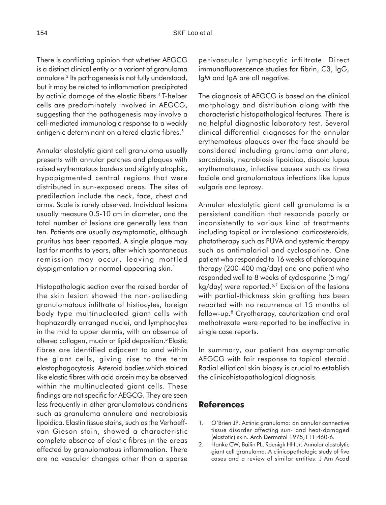There is conflicting opinion that whether AEGCG is a distinct clinical entity or a variant of granuloma annulare.3 Its pathogenesis is not fully understood, but it may be related to inflammation precipitated by actinic damage of the elastic fibers.4 T-helper cells are predominately involved in AEGCG, suggesting that the pathogenesis may involve a cell-mediated immunologic response to a weakly antigenic determinant on altered elastic fibres.5

Annular elastolytic giant cell granuloma usually presents with annular patches and plaques with raised erythematous borders and slightly atrophic, hypopigmented central regions that were distributed in sun-exposed areas. The sites of predilection include the neck, face, chest and arms. Scale is rarely observed. Individual lesions usually measure 0.5-10 cm in diameter, and the total number of lesions are generally less than ten. Patients are usually asymptomatic, although pruritus has been reported. A single plaque may last for months to years, after which spontaneous remission may occur, leaving mottled dyspigmentation or normal-appearing skin.<sup>1</sup>

Histopathologic section over the raised border of the skin lesion showed the non-palisading granulomatous infiltrate of histiocytes, foreign body type multinucleated giant cells with haphazardly arranged nuclei, and lymphocytes in the mid to upper dermis, with an absence of altered collagen, mucin or lipid deposition.<sup>5</sup> Elastic fibres are identified adjacent to and within the giant cells, giving rise to the term elastophagocytosis. Asteroid bodies which stained like elastic fibres with acid orcein may be observed within the multinucleated giant cells. These findings are not specific for AEGCG. They are seen less frequently in other granulomatous conditions such as granuloma annulare and necrobiosis lipoidica. Elastin tissue stains, such as the Verhoeffvan Gieson stain, showed a characteristic complete absence of elastic fibres in the areas affected by granulomatous inflammation. There are no vascular changes other than a sparse

perivascular lymphocytic infiltrate. Direct immunofluorescence studies for fibrin, C3, IgG, IgM and IgA are all negative.

The diagnosis of AEGCG is based on the clinical morphology and distribution along with the characteristic histopathological features. There is no helpful diagnostic laboratory test. Several clinical differential diagnoses for the annular erythematous plaques over the face should be considered including granuloma annulare, sarcoidosis, necrobiosis lipoidica, discoid lupus erythematosus, infective causes such as tinea faciale and granulomatous infections like lupus vulgaris and leprosy.

Annular elastolytic giant cell granuloma is a persistent condition that responds poorly or inconsistently to various kind of treatments including topical or intralesional corticosteroids, phototherapy such as PUVA and systemic therapy such as antimalarial and cyclosporine. One patient who responded to 16 weeks of chloroquine therapy (200-400 mg/day) and one patient who responded well to 8 weeks of cyclosporine (5 mg/  $kg/day$ ) were reported.<sup>6,7</sup> Excision of the lesions with partial-thickness skin grafting has been reported with no recurrence at 15 months of follow-up.8 Cryotherapy, cauterization and oral methotrexate were reported to be ineffective in single case reports.

In summary, our patient has asymptomatic AEGCG with fair response to topical steroid. Radial elliptical skin biopsy is crucial to establish the clinicohistopathological diagnosis.

### **References**

- 1. O'Brien JP. Actinic granuloma: an annular connective tissue disorder affecting sun- and heat-damaged (elastotic) skin. Arch Dermatol 1975;111:460-6.
- 2. Hanke CW, Bailin PL, Roenigk HH Jr. Annular elastolytic giant cell granuloma. A clinicopathologic study of five cases and a review of similar entities. J Am Acad